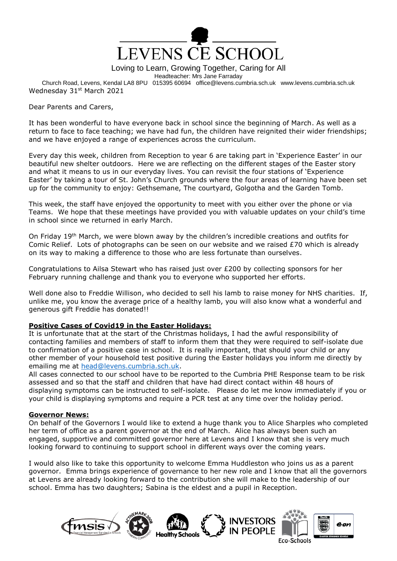

Loving to Learn, Growing Together, Caring for All

Headteacher: Mrs Jane Farraday

Church Road, Levens, Kendal LA8 8PU 015395 60694 office@levens.cumbria.sch.uk www.levens.cumbria.sch.uk Wednesday 31<sup>st</sup> March 2021

Dear Parents and Carers,

It has been wonderful to have everyone back in school since the beginning of March. As well as a return to face to face teaching; we have had fun, the children have reignited their wider friendships; and we have enjoyed a range of experiences across the curriculum.

Every day this week, children from Reception to year 6 are taking part in 'Experience Easter' in our beautiful new shelter outdoors. Here we are reflecting on the different stages of the Easter story and what it means to us in our everyday lives. You can revisit the four stations of 'Experience Easter' by taking a tour of St. John's Church grounds where the four areas of learning have been set up for the community to enjoy: Gethsemane, The courtyard, Golgotha and the Garden Tomb.

This week, the staff have enjoyed the opportunity to meet with you either over the phone or via Teams. We hope that these meetings have provided you with valuable updates on your child's time in school since we returned in early March.

On Friday 19<sup>th</sup> March, we were blown away by the children's incredible creations and outfits for Comic Relief. Lots of photographs can be seen on our website and we raised £70 which is already on its way to making a difference to those who are less fortunate than ourselves.

Congratulations to Ailsa Stewart who has raised just over £200 by collecting sponsors for her February running challenge and thank you to everyone who supported her efforts.

Well done also to Freddie Willison, who decided to sell his lamb to raise money for NHS charities. If, unlike me, you know the average price of a healthy lamb, you will also know what a wonderful and generous gift Freddie has donated!!

### **Positive Cases of Covid19 in the Easter Holidays:**

It is unfortunate that at the start of the Christmas holidays, I had the awful responsibility of contacting families and members of staff to inform them that they were required to self-isolate due to confirmation of a positive case in school. It is really important, that should your child or any other member of your household test positive during the Easter holidays you inform me directly by emailing me at [head@levens.cumbria.sch.uk.](mailto:head@levens.cumbria.sch.uk)

All cases connected to our school have to be reported to the Cumbria PHE Response team to be risk assessed and so that the staff and children that have had direct contact within 48 hours of displaying symptoms can be instructed to self-isolate. Please do let me know immediately if you or your child is displaying symptoms and require a PCR test at any time over the holiday period.

### **Governor News:**

On behalf of the Governors I would like to extend a huge thank you to Alice Sharples who completed her term of office as a parent governor at the end of March. Alice has always been such an engaged, supportive and committed governor here at Levens and I know that she is very much looking forward to continuing to support school in different ways over the coming years.

I would also like to take this opportunity to welcome Emma Huddleston who joins us as a parent governor. Emma brings experience of governance to her new role and I know that all the governors at Levens are already looking forward to the contribution she will make to the leadership of our school. Emma has two daughters; Sabina is the eldest and a pupil in Reception.

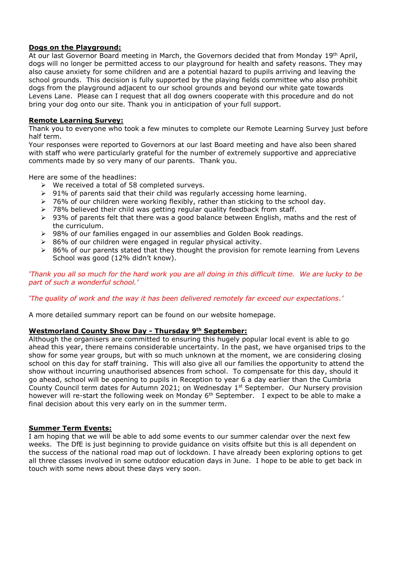## **Dogs on the Playground:**

At our last Governor Board meeting in March, the Governors decided that from Monday 19<sup>th</sup> April, dogs will no longer be permitted access to our playground for health and safety reasons. They may also cause anxiety for some children and are a potential hazard to pupils arriving and leaving the school grounds. This decision is fully supported by the playing fields committee who also prohibit dogs from the playground adjacent to our school grounds and beyond our white gate towards Levens Lane. Please can I request that all dog owners cooperate with this procedure and do not bring your dog onto our site. Thank you in anticipation of your full support.

### **Remote Learning Survey:**

Thank you to everyone who took a few minutes to complete our Remote Learning Survey just before half term.

Your responses were reported to Governors at our last Board meeting and have also been shared with staff who were particularly grateful for the number of extremely supportive and appreciative comments made by so very many of our parents. Thank you.

Here are some of the headlines:

- $\triangleright$  We received a total of 58 completed surveys.
- $\geq$  91% of parents said that their child was regularly accessing home learning.
- $\geq$  76% of our children were working flexibly, rather than sticking to the school day.
- $\geq$  78% believed their child was getting regular quality feedback from staff.
- $\geq$  93% of parents felt that there was a good balance between English, maths and the rest of the curriculum.
- $\geq$  98% of our families engaged in our assemblies and Golden Book readings.
- $86%$  of our children were engaged in regular physical activity.
- $\geq$  86% of our parents stated that they thought the provision for remote learning from Levens School was good (12% didn't know).

*'Thank you all so much for the hard work you are all doing in this difficult time. We are lucky to be part of such a wonderful school.'*

### *'The quality of work and the way it has been delivered remotely far exceed our expectations.'*

A more detailed summary report can be found on our website homepage.

# **Westmorland County Show Day - Thursday 9th September:**

Although the organisers are committed to ensuring this hugely popular local event is able to go ahead this year, there remains considerable uncertainty. In the past, we have organised trips to the show for some year groups, but with so much unknown at the moment, we are considering closing school on this day for staff training. This will also give all our families the opportunity to attend the show without incurring unauthorised absences from school. To compensate for this day, should it go ahead, school will be opening to pupils in Reception to year 6 a day earlier than the Cumbria County Council term dates for Autumn 2021; on Wednesday 1<sup>st</sup> September. Our Nursery provision however will re-start the following week on Monday 6<sup>th</sup> September. I expect to be able to make a final decision about this very early on in the summer term.

### **Summer Term Events:**

I am hoping that we will be able to add some events to our summer calendar over the next few weeks. The DfE is just beginning to provide guidance on visits offsite but this is all dependent on the success of the national road map out of lockdown. I have already been exploring options to get all three classes involved in some outdoor education days in June. I hope to be able to get back in touch with some news about these days very soon.